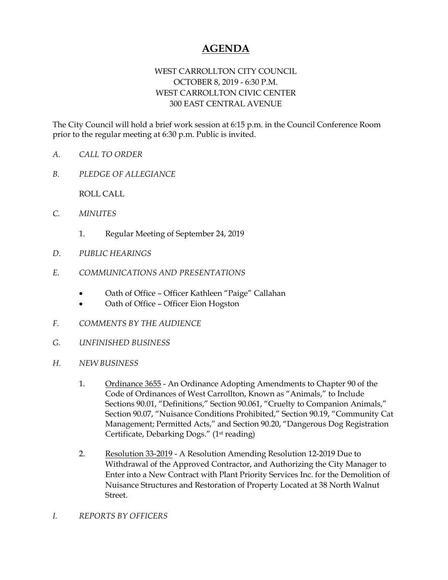## **AGENDA**

## WEST CARROLLTON CITY COUNCIL OCTOBER 8, 2019 - 6:30 P.M. WEST CARROLLTON CIVIC CENTER 300 EAST CENTRAL AVENUE

The City Council will hold a brief work session at 6:15 p.m. in the Council Conference Room prior to the regular meeting at 6:30 p.m. Public is invited.

- *A. CALL TO ORDER*
- *B. PLEDGE OF ALLEGIANCE*

ROLL CALL

- *C. MINUTES* 
	- 1. Regular Meeting of September 24, 2019
- *D. PUBLIC HEARINGS*
- *E. COMMUNICATIONS AND PRESENTATIONS* 
	- Oath of Office Officer Kathleen "Paige" Callahan
	- Oath of Office Officer Eion Hogston
- *F. COMMENTS BY THE AUDIENCE*
- *G. UNFINISHED BUSINESS*
- *H. NEW BUSINESS* 
	- 1. Ordinance 3655 An Ordinance Adopting Amendments to Chapter 90 of the Code of Ordinances of West Carrollton, Known as "Animals," to Include Sections 90.01, "Definitions," Section 90.061, "Cruelty to Companion Animals," Section 90.07, "Nuisance Conditions Prohibited," Section 90.19, "Community Cat Management; Permitted Acts," and Section 90.20, "Dangerous Dog Registration Certificate, Debarking Dogs." (1st reading)
	- 2. Resolution 33-2019 A Resolution Amending Resolution 12-2019 Due to Withdrawal of the Approved Contractor, and Authorizing the City Manager to Enter into a New Contract with Plant Priority Services Inc. for the Demolition of Nuisance Structures and Restoration of Property Located at 38 North Walnut Street.
- *I. REPORTS BY OFFICERS*